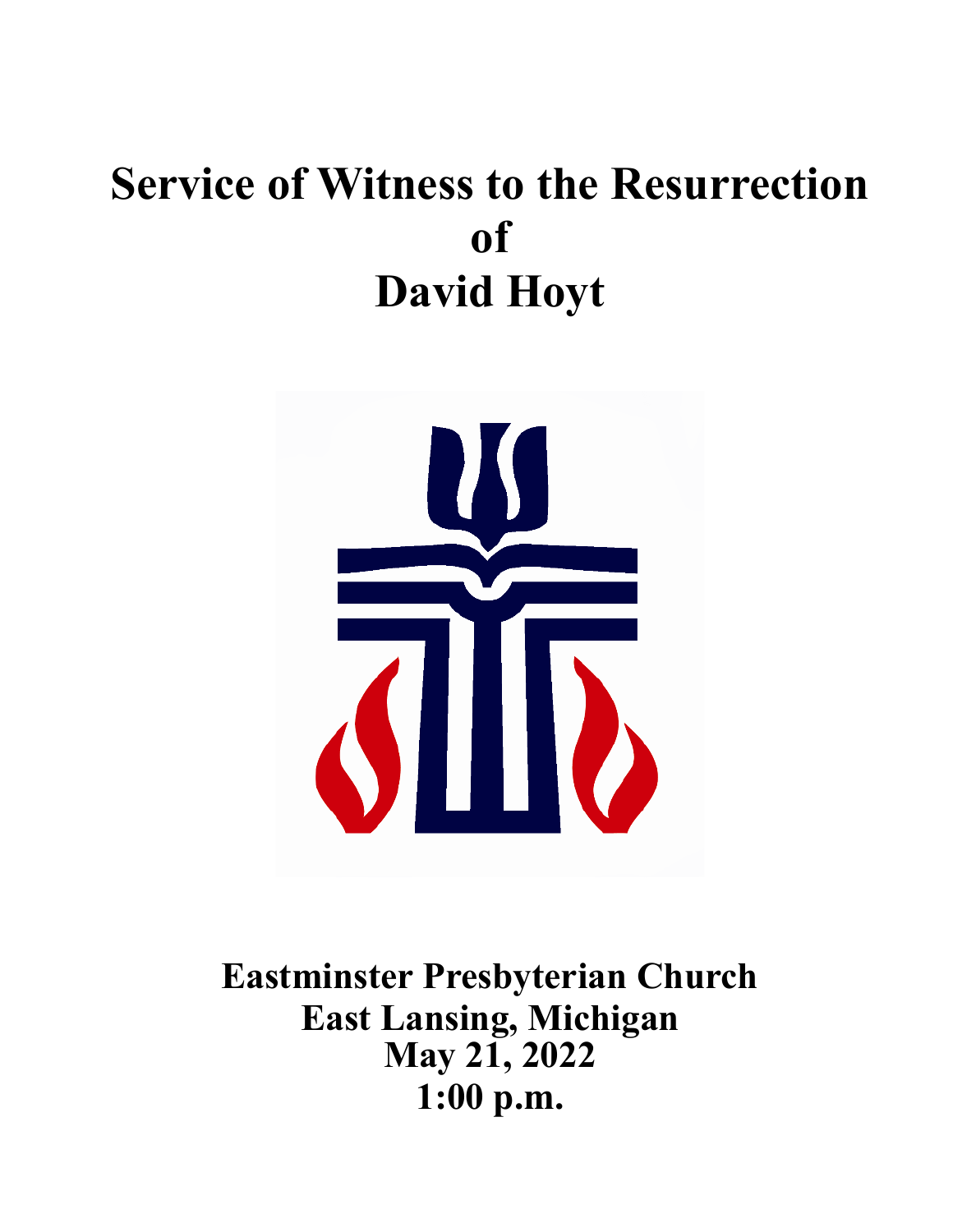# **Service of Witness to the Resurrection of David Hoyt**



**Eastminster Presbyterian Church East Lansing, Michigan May 21, 2022 1:00 p.m.**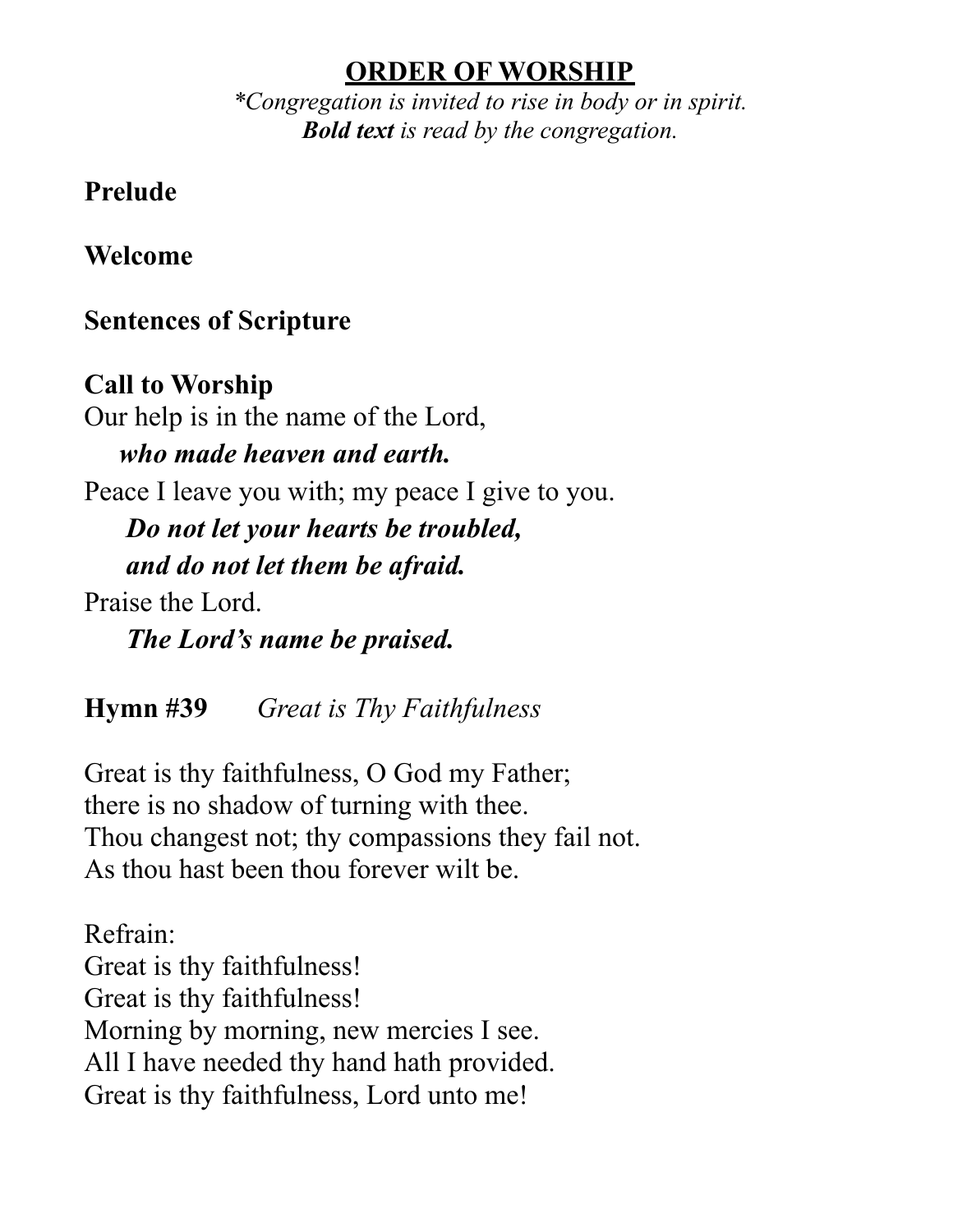#### **ORDER OF WORSHIP**

*\*Congregation is invited to rise in body or in spirit. Bold text is read by the congregation.*

**Prelude**

**Welcome**

## **Sentences of Scripture**

**Call to Worship** Our help is in the name of the Lord, *who made heaven and earth.* Peace I leave you with; my peace I give to you. *Do not let your hearts be troubled, and do not let them be afraid.*

Praise the Lord.

*The Lord's name be praised.*

**Hymn #39** *Great is Thy Faithfulness*

Great is thy faithfulness, O God my Father; there is no shadow of turning with thee. Thou changest not; thy compassions they fail not. As thou hast been thou forever wilt be.

Refrain: Great is thy faithfulness! Great is thy faithfulness! Morning by morning, new mercies I see. All I have needed thy hand hath provided. Great is thy faithfulness, Lord unto me!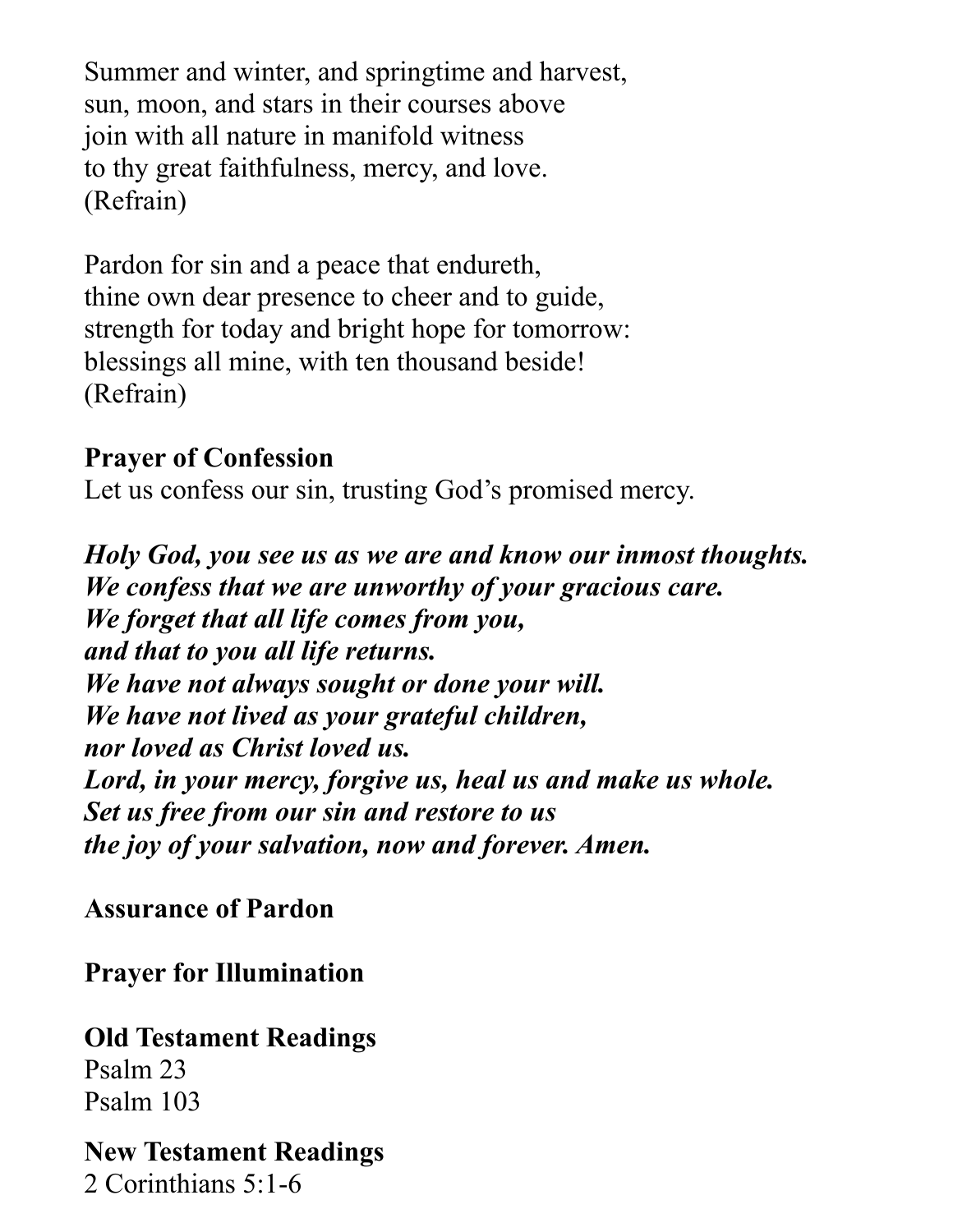Summer and winter, and springtime and harvest, sun, moon, and stars in their courses above join with all nature in manifold witness to thy great faithfulness, mercy, and love. (Refrain)

Pardon for sin and a peace that endureth, thine own dear presence to cheer and to guide, strength for today and bright hope for tomorrow: blessings all mine, with ten thousand beside! (Refrain)

### **Prayer of Confession**

Let us confess our sin, trusting God's promised mercy.

*Holy God, you see us as we are and know our inmost thoughts. We confess that we are unworthy of your gracious care. We forget that all life comes from you, and that to you all life returns. We have not always sought or done your will. We have not lived as your grateful children, nor loved as Christ loved us. Lord, in your mercy, forgive us, heal us and make us whole. Set us free from our sin and restore to us the joy of your salvation, now and forever. Amen.*

# **Assurance of Pardon**

**Prayer for Illumination**

## **Old Testament Readings**

Psalm 23 Psalm 103

**New Testament Readings** 2 Corinthians 5:1-6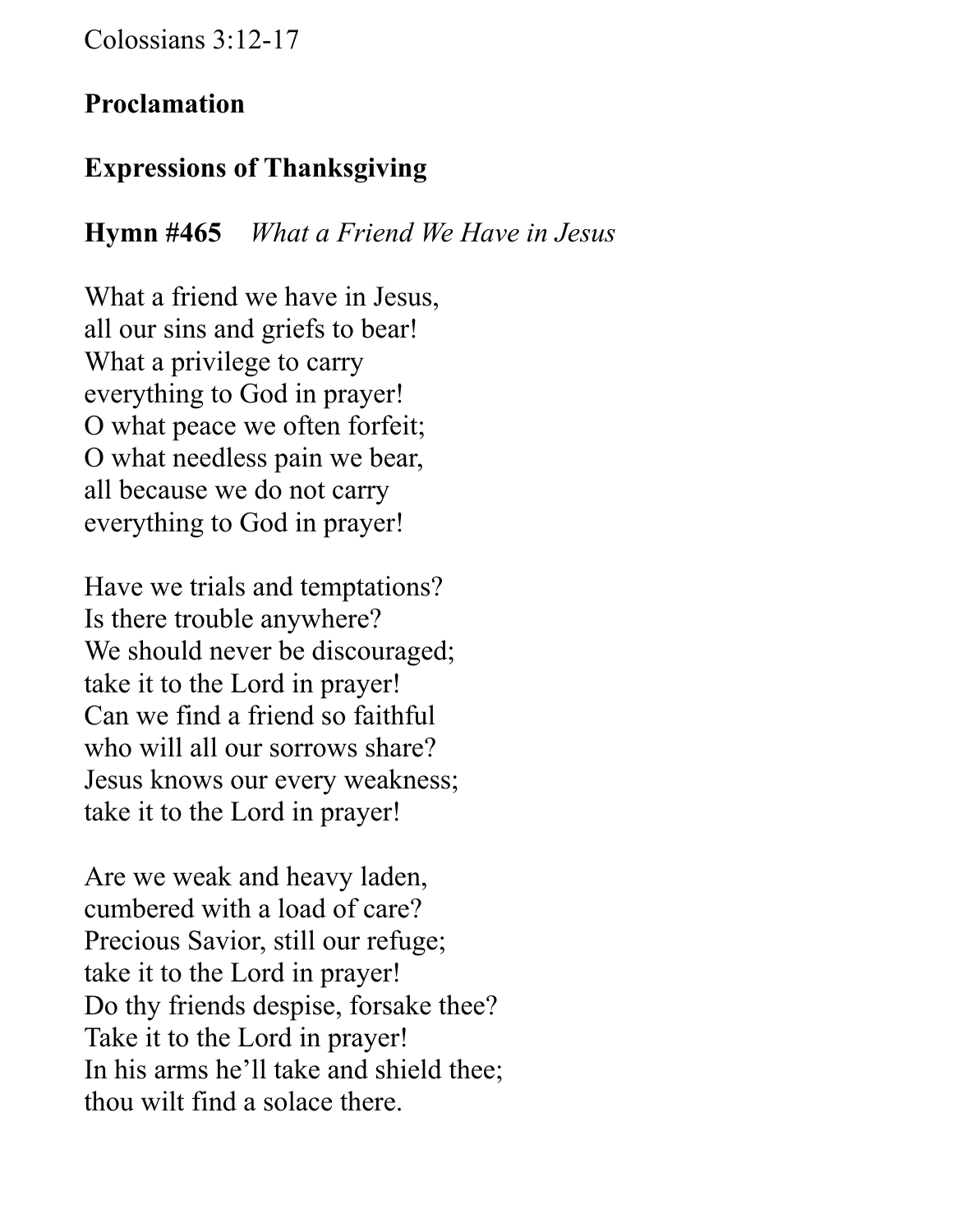Colossians 3:12-17

#### **Proclamation**

#### **Expressions of Thanksgiving**

**Hymn #465** *What a Friend We Have in Jesus*

What a friend we have in Jesus, all our sins and griefs to bear! What a privilege to carry everything to God in prayer! O what peace we often forfeit; O what needless pain we bear, all because we do not carry everything to God in prayer!

Have we trials and temptations? Is there trouble anywhere? We should never be discouraged; take it to the Lord in prayer! Can we find a friend so faithful who will all our sorrows share? Jesus knows our every weakness; take it to the Lord in prayer!

Are we weak and heavy laden, cumbered with a load of care? Precious Savior, still our refuge; take it to the Lord in prayer! Do thy friends despise, forsake thee? Take it to the Lord in prayer! In his arms he'll take and shield thee; thou wilt find a solace there.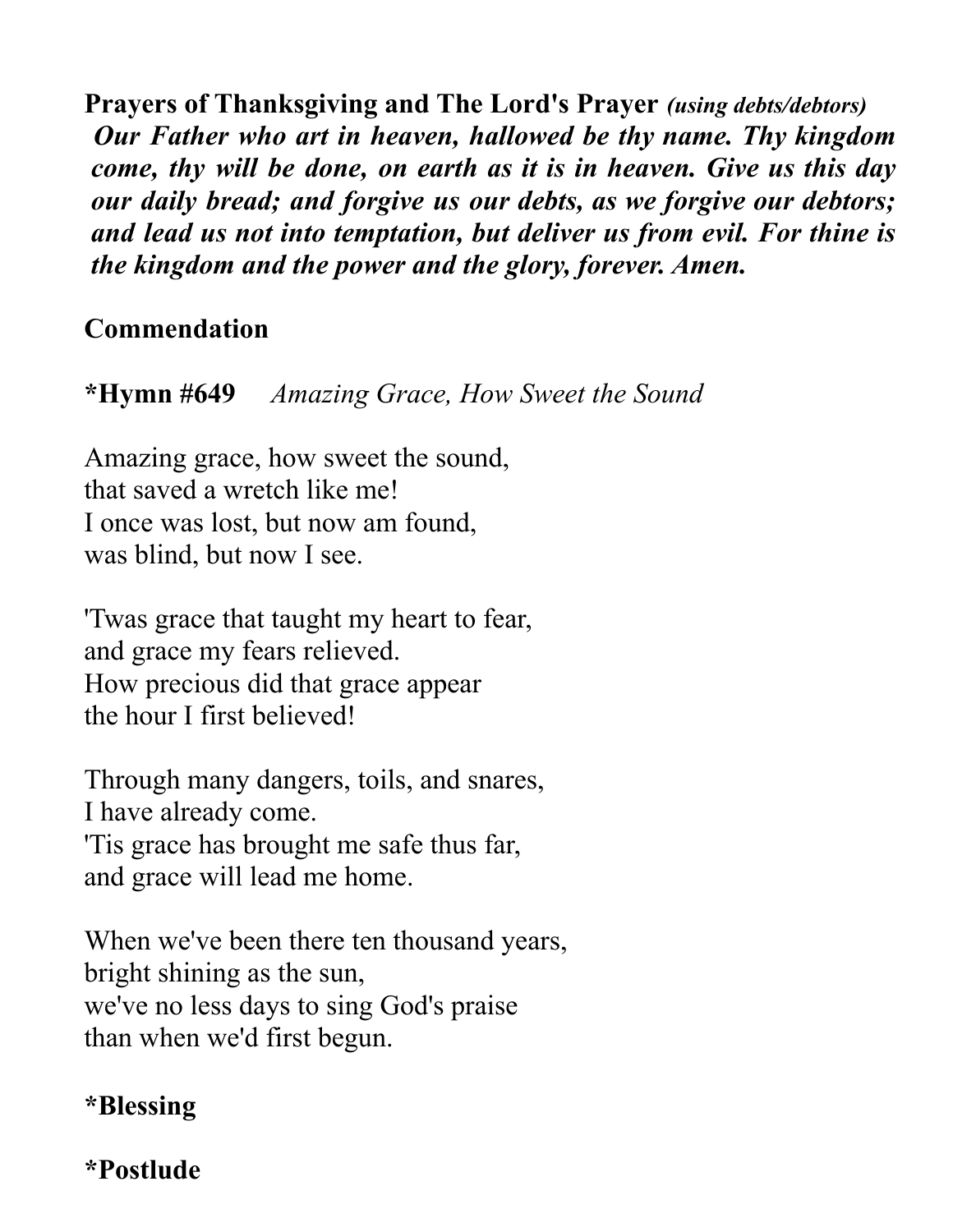**Prayers of Thanksgiving and The Lord's Prayer** *(using debts/debtors) Our Father who art in heaven, hallowed be thy name. Thy kingdom come, thy will be done, on earth as it is in heaven. Give us this day our daily bread; and forgive us our debts, as we forgive our debtors; and lead us not into temptation, but deliver us from evil. For thine is the kingdom and the power and the glory, forever. Amen.*

# **Commendation**

**\*Hymn #649** *Amazing Grace, How Sweet the Sound*

Amazing grace, how sweet the sound, that saved a wretch like me! I once was lost, but now am found, was blind, but now I see.

'Twas grace that taught my heart to fear, and grace my fears relieved. How precious did that grace appear the hour I first believed!

Through many dangers, toils, and snares, I have already come. 'Tis grace has brought me safe thus far, and grace will lead me home.

When we've been there ten thousand years, bright shining as the sun, we've no less days to sing God's praise than when we'd first begun.

# **\*Blessing**

## **\*Postlude**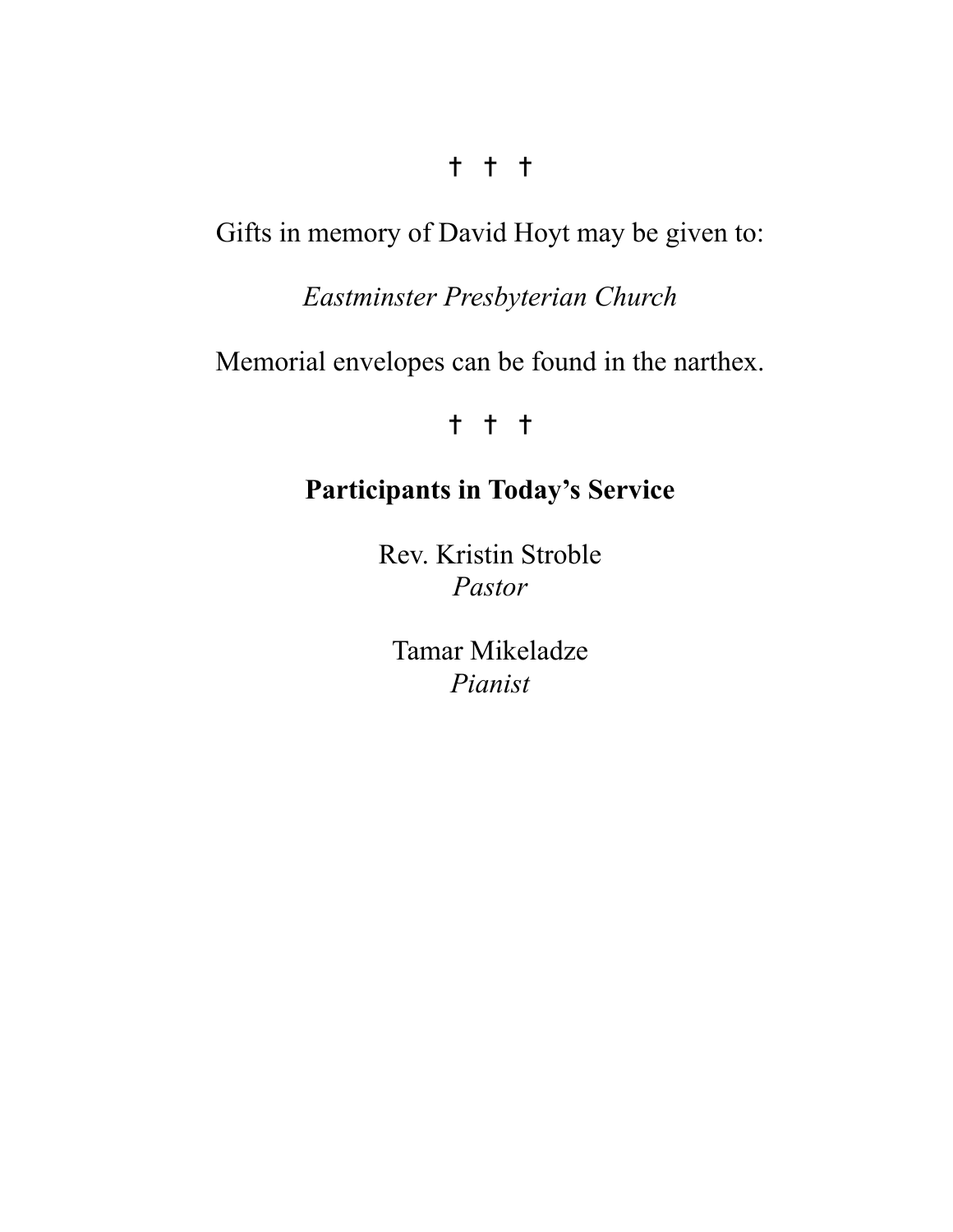# ✝ ✝ ✝

Gifts in memory of David Hoyt may be given to:

*Eastminster Presbyterian Church*

Memorial envelopes can be found in the narthex.

✝ ✝ ✝

## **Participants in Today's Service**

Rev. Kristin Stroble *Pastor*

Tamar Mikeladze *Pianist*